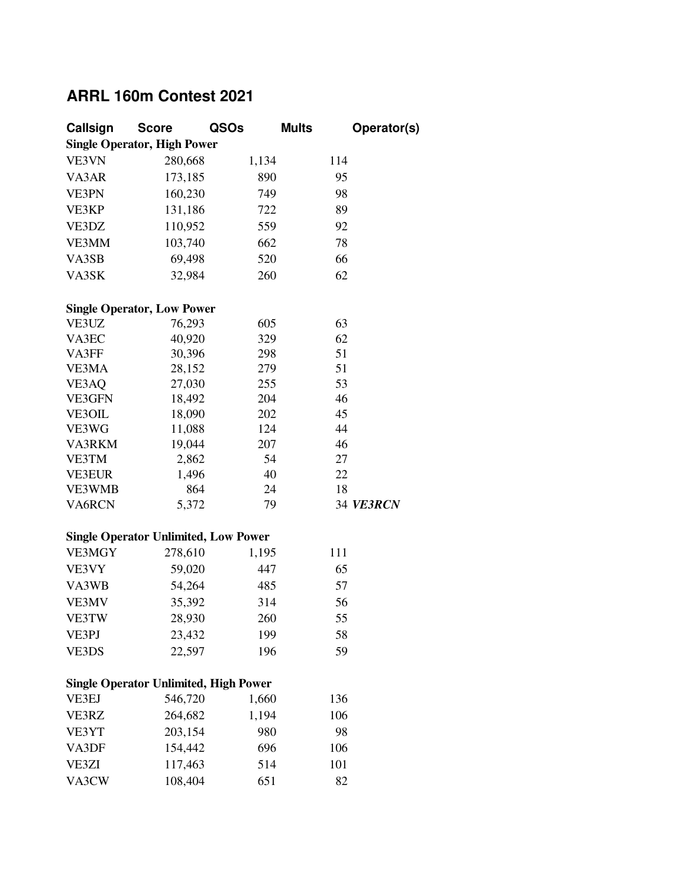## **ARRL 160m Contest 2021**

| Callsign      | <b>Score</b>                                 | QSOs  | <b>Mults</b> | Operator(s) |
|---------------|----------------------------------------------|-------|--------------|-------------|
|               | <b>Single Operator, High Power</b>           |       |              |             |
| VE3VN         | 280,668                                      | 1,134 | 114          |             |
| VA3AR         | 173,185                                      | 890   | 95           |             |
| VE3PN         | 160,230                                      | 749   | 98           |             |
| VE3KP         | 131,186                                      | 722   | 89           |             |
| VE3DZ         | 110,952                                      | 559   | 92           |             |
| VE3MM         | 103,740                                      | 662   | 78           |             |
| VA3SB         | 69,498                                       | 520   | 66           |             |
| VA3SK         | 32,984                                       | 260   | 62           |             |
|               |                                              |       |              |             |
|               | <b>Single Operator, Low Power</b>            |       |              |             |
| VE3UZ         | 76,293                                       | 605   | 63           |             |
| VA3EC         | 40,920                                       | 329   | 62           |             |
| VA3FF         | 30,396                                       | 298   | 51           |             |
| VE3MA         | 28,152                                       | 279   | 51           |             |
| VE3AQ         | 27,030                                       | 255   | 53           |             |
| VE3GFN        | 18,492                                       | 204   | 46           |             |
| <b>VE3OIL</b> | 18,090                                       | 202   | 45           |             |
| VE3WG         | 11,088                                       | 124   | 44           |             |
| VA3RKM        | 19,044                                       | 207   | 46           |             |
| VE3TM         | 2,862                                        | 54    | 27           |             |
| <b>VE3EUR</b> | 1,496                                        | 40    | 22           |             |
| <b>VE3WMB</b> | 864                                          | 24    | 18           |             |
| VA6RCN        | 5,372                                        | 79    |              | 34 VE3RCN   |
|               | <b>Single Operator Unlimited, Low Power</b>  |       |              |             |
| VE3MGY        | 278,610                                      | 1,195 | 111          |             |
| VE3VY         | 59,020                                       | 447   | 65           |             |
| VA3WB         | 54,264                                       | 485   | 57           |             |
| <b>VE3MV</b>  | 35,392                                       | 314   | 56           |             |
| VE3TW         | 28,930                                       | 260   | 55           |             |
| VE3PJ         | 23,432                                       | 199   | 58           |             |
| VE3DS         | 22,597                                       | 196   | 59           |             |
|               |                                              |       |              |             |
|               | <b>Single Operator Unlimited, High Power</b> |       |              |             |
| VE3EJ         | 546,720                                      | 1,660 | 136          |             |
| VE3RZ         | 264,682                                      | 1,194 | 106          |             |
| VE3YT         | 203,154                                      | 980   | 98           |             |
| VA3DF         | 154,442                                      | 696   | 106          |             |
| VE3ZI         | 117,463                                      | 514   | 101          |             |
| VA3CW         | 108,404                                      | 651   | 82           |             |